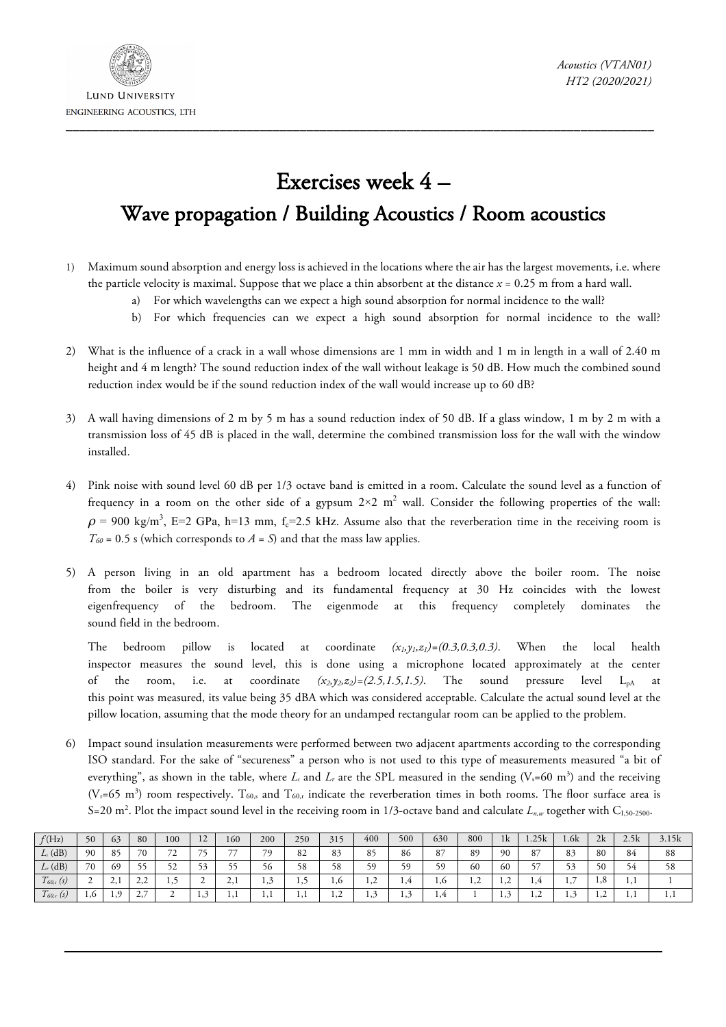

## Exercises week 4 – Wave propagation / Building Acoustics / Room acoustics

- 1) Maximum sound absorption and energy loss is achieved in the locations where the air has the largest movements, i.e. where the particle velocity is maximal. Suppose that we place a thin absorbent at the distance *x* = 0.25 m from a hard wall.
	- a) For which wavelengths can we expect a high sound absorption for normal incidence to the wall?
	- b) For which frequencies can we expect a high sound absorption for normal incidence to the wall?
- 2) What is the influence of a crack in a wall whose dimensions are 1 mm in width and 1 m in length in a wall of 2.40 m height and 4 m length? The sound reduction index of the wall without leakage is 50 dB. How much the combined sound reduction index would be if the sound reduction index of the wall would increase up to 60 dB?
- 3) A wall having dimensions of 2 m by 5 m has a sound reduction index of 50 dB. If a glass window, 1 m by 2 m with a transmission loss of 45 dB is placed in the wall, determine the combined transmission loss for the wall with the window installed.
- 4) Pink noise with sound level 60 dB per 1/3 octave band is emitted in a room. Calculate the sound level as a function of frequency in a room on the other side of a gypsum  $2\times 2$  m<sup>2</sup> wall. Consider the following properties of the wall:  $\rho$  = 900 kg/m<sup>3</sup>, E=2 GPa, h=13 mm, f<sub>c</sub>=2.5 kHz. Assume also that the reverberation time in the receiving room is  $T_{60}$  = 0.5 s (which corresponds to *A* = *S*) and that the mass law applies.
- 5) A person living in an old apartment has a bedroom located directly above the boiler room. The noise from the boiler is very disturbing and its fundamental frequency at 30 Hz coincides with the lowest eigenfrequency of the bedroom. The eigenmode at this frequency completely dominates the sound field in the bedroom.

The bedroom pillow is located at coordinate  $(x_i, y_i, z_i) = (0.3, 0.3, 0.3)$ . When the local health inspector measures the sound level, this is done using a microphone located approximately at the center of the room, i.e. at coordinate  $(x_2,y_2,z_2)=(2.5,1.5,1.5)$ . The sound pressure level  $L_{pA}$  at this point was measured, its value being 35 dBA which was considered acceptable. Calculate the actual sound level at the pillow location, assuming that the mode theory for an undamped rectangular room can be applied to the problem.

6) Impact sound insulation measurements were performed between two adjacent apartments according to the corresponding ISO standard. For the sake of "secureness" a person who is not used to this type of measurements measured "a bit of everything", as shown in the table, where  $L_i$  and  $L_r$  are the SPL measured in the sending  $(V_s=60 \text{ m}^3)$  and the receiving  $(V_f=65 \text{ m}^3)$  room respectively.  $T_{60,s}$  and  $T_{60,r}$  indicate the reverberation times in both rooms. The floor surface area is S=20 m<sup>2</sup>. Plot the impact sound level in the receiving room in 1/3-octave band and calculate  $L_{n,w}$  together with C<sub>I,50-2500</sub>.

| f(Hz)                            | 50  | 63    | 80                                | 100                           | ר ו<br>$\overline{1}$    | 160                      | 200      | 250   | 315            | 400             | 500 | 630 | 800 | 1k  | 1.25k          | l.6k                 | 2k             | 2.5k | 3.15k |
|----------------------------------|-----|-------|-----------------------------------|-------------------------------|--------------------------|--------------------------|----------|-------|----------------|-----------------|-----|-----|-----|-----|----------------|----------------------|----------------|------|-------|
| $Ls$ (dB)                        | 90  | 85    | 70                                | $\overline{\phantom{a}}$<br>∸ | $\overline{\phantom{a}}$ | $\overline{\phantom{a}}$ | 70       | 82    | 83             | 85              | 86  | 87  | 89  | 90  | 87             | 83                   | 80             | 84   | 88    |
| $L_r$ (dB)                       | 70  | 69    | 55                                | ະາ                            |                          |                          | 20       | 58    | 58             | 50              | 50  | 59  | 60  | 60  |                | 52                   | 50             | ╯    | 58    |
| $\overline{ }$<br>$1_{60,s}$ (s) | ∸   | لىدىك | $\overline{\phantom{a}}$<br>تندمك | رو 1                          | ∸                        | $\sim$                   | 1,3      | ر د 1 | 1,0            | $\bigcap$<br>ء, | 1,4 | 1,0 | 1,∠ | سمد | 1,4            | -<br>$\cdot$ $\cdot$ | 1,0            | 1,1  |       |
| $\overline{ }$<br>$1_{60,r}$ (s) | 1.0 | 1,9   | -<br>×,<br><b>، ک</b>             | ∸                             | ر, 1                     | $\cdots$                 | $\cdots$ | 1,1   | $\overline{1}$ | 1,3             | 1,3 | 1,4 |     | ربد | $\overline{1}$ | 1,2                  | $\overline{1}$ | 1.1  | 1.1   |